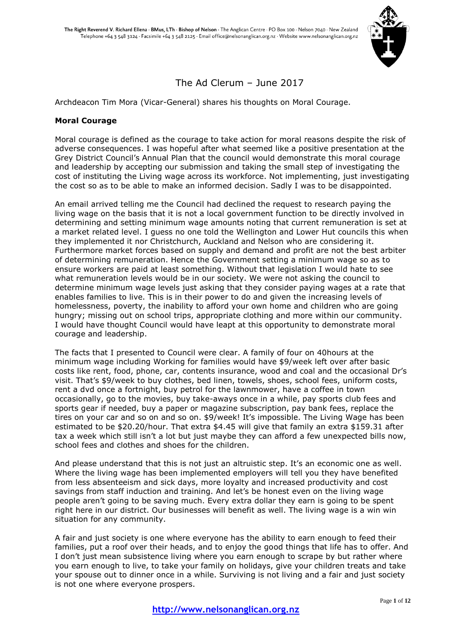

# The Ad Clerum – June 2017

Archdeacon Tim Mora (Vicar-General) shares his thoughts on Moral Courage.

### **Moral Courage**

Moral courage is defined as the courage to take action for moral reasons despite the risk of adverse consequences. I was hopeful after what seemed like a positive presentation at the Grey District Council's Annual Plan that the council would demonstrate this moral courage and leadership by accepting our submission and taking the small step of investigating the cost of instituting the Living wage across its workforce. Not implementing, just investigating the cost so as to be able to make an informed decision. Sadly I was to be disappointed.

An email arrived telling me the Council had declined the request to research paying the living wage on the basis that it is not a local government function to be directly involved in determining and setting minimum wage amounts noting that current remuneration is set at a market related level. I guess no one told the Wellington and Lower Hut councils this when they implemented it nor Christchurch, Auckland and Nelson who are considering it. Furthermore market forces based on supply and demand and profit are not the best arbiter of determining remuneration. Hence the Government setting a minimum wage so as to ensure workers are paid at least something. Without that legislation I would hate to see what remuneration levels would be in our society. We were not asking the council to determine minimum wage levels just asking that they consider paying wages at a rate that enables families to live. This is in their power to do and given the increasing levels of homelessness, poverty, the inability to afford your own home and children who are going hungry; missing out on school trips, appropriate clothing and more within our community. I would have thought Council would have leapt at this opportunity to demonstrate moral courage and leadership.

The facts that I presented to Council were clear. A family of four on 40hours at the minimum wage including Working for families would have \$9/week left over after basic costs like rent, food, phone, car, contents insurance, wood and coal and the occasional Dr's visit. That's \$9/week to buy clothes, bed linen, towels, shoes, school fees, uniform costs, rent a dvd once a fortnight, buy petrol for the lawnmower, have a coffee in town occasionally, go to the movies, buy take-aways once in a while, pay sports club fees and sports gear if needed, buy a paper or magazine subscription, pay bank fees, replace the tires on your car and so on and so on. \$9/week! It's impossible. The Living Wage has been estimated to be \$20.20/hour. That extra \$4.45 will give that family an extra \$159.31 after tax a week which still isn't a lot but just maybe they can afford a few unexpected bills now, school fees and clothes and shoes for the children.

And please understand that this is not just an altruistic step. It's an economic one as well. Where the living wage has been implemented employers will tell you they have benefited from less absenteeism and sick days, more loyalty and increased productivity and cost savings from staff induction and training. And let's be honest even on the living wage people aren't going to be saving much. Every extra dollar they earn is going to be spent right here in our district. Our businesses will benefit as well. The living wage is a win win situation for any community.

A fair and just society is one where everyone has the ability to earn enough to feed their families, put a roof over their heads, and to enjoy the good things that life has to offer. And I don't just mean subsistence living where you earn enough to scrape by but rather where you earn enough to live, to take your family on holidays, give your children treats and take your spouse out to dinner once in a while. Surviving is not living and a fair and just society is not one where everyone prospers.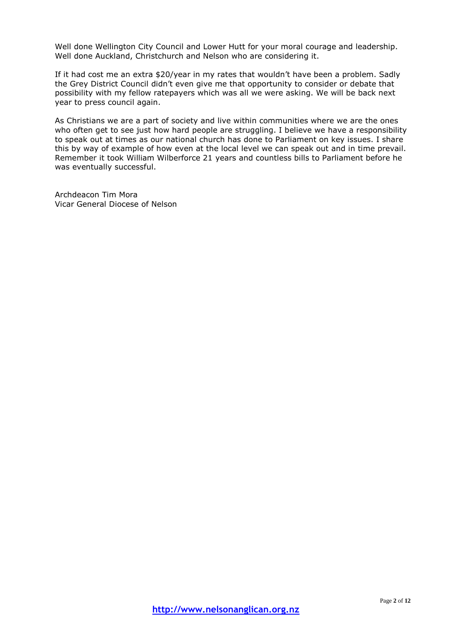Well done Wellington City Council and Lower Hutt for your moral courage and leadership. Well done Auckland, Christchurch and Nelson who are considering it.

If it had cost me an extra \$20/year in my rates that wouldn't have been a problem. Sadly the Grey District Council didn't even give me that opportunity to consider or debate that possibility with my fellow ratepayers which was all we were asking. We will be back next year to press council again.

As Christians we are a part of society and live within communities where we are the ones who often get to see just how hard people are struggling. I believe we have a responsibility to speak out at times as our national church has done to Parliament on key issues. I share this by way of example of how even at the local level we can speak out and in time prevail. Remember it took William Wilberforce 21 years and countless bills to Parliament before he was eventually successful.

Archdeacon Tim Mora Vicar General Diocese of Nelson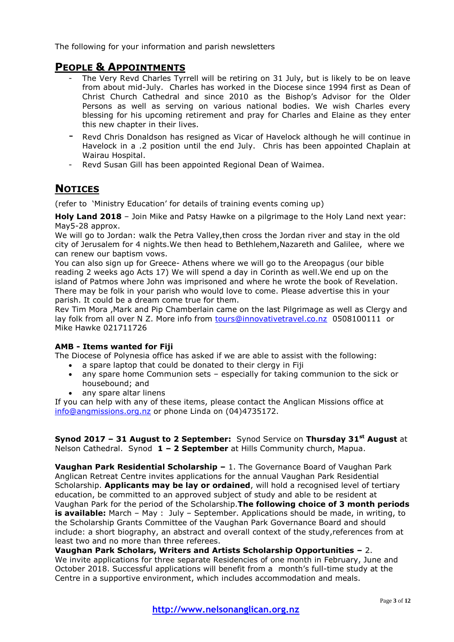The following for your information and parish newsletters

# **PEOPLE & APPOINTMENTS**

- The Very Revd Charles Tyrrell will be retiring on 31 July, but is likely to be on leave from about mid-July. Charles has worked in the Diocese since 1994 first as Dean of Christ Church Cathedral and since 2010 as the Bishop's Advisor for the Older Persons as well as serving on various national bodies. We wish Charles every blessing for his upcoming retirement and pray for Charles and Elaine as they enter this new chapter in their lives.
- Revd Chris Donaldson has resigned as Vicar of Havelock although he will continue in Havelock in a .2 position until the end July. Chris has been appointed Chaplain at Wairau Hospital.
- Revd Susan Gill has been appointed Regional Dean of Waimea.

# **NOTICES**

(refer to 'Ministry Education' for details of training events coming up)

**Holy Land 2018** – Join Mike and Patsy Hawke on a pilgrimage to the Holy Land next year: May5-28 approx.

We will go to Jordan: walk the Petra Valley,then cross the Jordan river and stay in the old city of Jerusalem for 4 nights.We then head to Bethlehem,Nazareth and Galilee, where we can renew our baptism vows.

You can also sign up for Greece- Athens where we will go to the Areopagus (our bible reading 2 weeks ago Acts 17) We will spend a day in Corinth as well.We end up on the island of Patmos where John was imprisoned and where he wrote the book of Revelation. There may be folk in your parish who would love to come. Please advertise this in your parish. It could be a dream come true for them.

Rev Tim Mora ,Mark and Pip Chamberlain came on the last Pilgrimage as well as Clergy and lay folk from all over N Z. More info from [tours@innovativetravel.co.nz](mailto:tours@innovativetravel.co.nz) 0508100111 or Mike Hawke 021711726

### **AMB - Items wanted for Fiji**

The Diocese of Polynesia office has asked if we are able to assist with the following:

- a spare laptop that could be donated to their clergy in Fiji
- any spare home Communion sets especially for taking communion to the sick or housebound; and
- any spare altar linens

If you can help with any of these items, please contact the Anglican Missions office at [info@angmissions.org.nz](mailto:info@angmissions.org.nz) or phone Linda on (04)4735172.

**Synod 2017 – 31 August to 2 September:** Synod Service on **Thursday 31st August** at Nelson Cathedral. Synod **1 – 2 September** at Hills Community church, Mapua.

**Vaughan Park Residential Scholarship –** 1. The Governance Board of Vaughan Park Anglican Retreat Centre invites applications for the annual Vaughan Park Residential Scholarship. **Applicants may be lay or ordained**, will hold a recognised level of tertiary education, be committed to an approved subject of study and able to be resident at Vaughan Park for the period of the Scholarship.**The following choice of 3 month periods is available:** March - May : July - September. Applications should be made, in writing, to the Scholarship Grants Committee of the Vaughan Park Governance Board and should include: a short biography, an abstract and overall context of the study,references from at least two and no more than three referees.

**Vaughan Park Scholars, Writers and Artists Scholarship Opportunities –** 2. We invite applications for three separate Residencies of one month in February, June and October 2018. Successful applications will benefit from a month's full-time study at the Centre in a supportive environment, which includes accommodation and meals.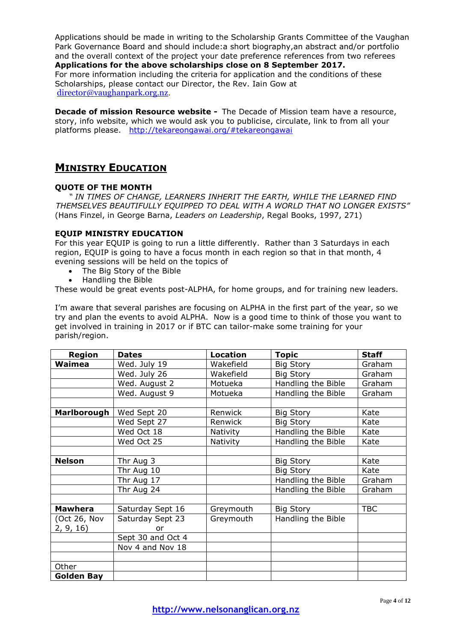Applications should be made in writing to the Scholarship Grants Committee of the Vaughan Park Governance Board and should include:a short biography,an abstract and/or portfolio and the overall context of the project your date preference references from two referees **Applications for the above scholarships close on 8 September 2017.** For more information including the criteria for application and the conditions of these Scholarships, please contact our Director, the Rev. Iain Gow at [director@vaughanpark.org.nz.](mailto:director@vaughanpark.org.nz?subject=Scholars%2C%20Writers%20and%20Artists%20Scholarship%20enquiry)

**Decade of mission Resource website -** The Decade of Mission team have a resource, story, info website, which we would ask you to publicise, circulate, link to from all your platforms please. <http://tekareongawai.org/#tekareongawai>

# **MINISTRY EDUCATION**

### **QUOTE OF THE MONTH**

*" IN TIMES OF CHANGE, LEARNERS INHERIT THE EARTH, WHILE THE LEARNED FIND THEMSELVES BEAUTIFULLY EQUIPPED TO DEAL WITH A WORLD THAT NO LONGER EXISTS"* (Hans Finzel, in George Barna, *Leaders on Leadership*, Regal Books, 1997, 271)

### **EQUIP MINISTRY EDUCATION**

For this year EQUIP is going to run a little differently. Rather than 3 Saturdays in each region, EQUIP is going to have a focus month in each region so that in that month, 4 evening sessions will be held on the topics of

- The Big Story of the Bible
- Handling the Bible

These would be great events post-ALPHA, for home groups, and for training new leaders.

I'm aware that several parishes are focusing on ALPHA in the first part of the year, so we try and plan the events to avoid ALPHA. Now is a good time to think of those you want to get involved in training in 2017 or if BTC can tailor-make some training for your parish/region.

| <b>Region</b>     | <b>Dates</b>      | <b>Location</b> | <b>Topic</b>       | <b>Staff</b> |
|-------------------|-------------------|-----------------|--------------------|--------------|
| Waimea            | Wed. July 19      | Wakefield       | <b>Big Story</b>   | Graham       |
|                   | Wed. July 26      | Wakefield       | <b>Big Story</b>   | Graham       |
|                   | Wed. August 2     | Motueka         | Handling the Bible | Graham       |
|                   | Wed. August 9     | Motueka         | Handling the Bible | Graham       |
|                   |                   |                 |                    |              |
| Marlborough       | Wed Sept 20       | Renwick         | <b>Big Story</b>   | Kate         |
|                   | Wed Sept 27       | Renwick         | <b>Big Story</b>   | Kate         |
|                   | Wed Oct 18        | Nativity        | Handling the Bible | Kate         |
|                   | Wed Oct 25        | Nativity        | Handling the Bible | Kate         |
|                   |                   |                 |                    |              |
| <b>Nelson</b>     | Thr Aug 3         |                 | <b>Big Story</b>   | Kate         |
|                   | Thr Aug 10        |                 | <b>Big Story</b>   | Kate         |
|                   | Thr Aug 17        |                 | Handling the Bible | Graham       |
|                   | Thr Aug 24        |                 | Handling the Bible | Graham       |
|                   |                   |                 |                    |              |
| <b>Mawhera</b>    | Saturday Sept 16  | Greymouth       | <b>Big Story</b>   | <b>TBC</b>   |
| (Oct 26, Nov      | Saturday Sept 23  | Greymouth       | Handling the Bible |              |
| 2, 9, 16          | or                |                 |                    |              |
|                   | Sept 30 and Oct 4 |                 |                    |              |
|                   | Nov 4 and Nov 18  |                 |                    |              |
|                   |                   |                 |                    |              |
| Other             |                   |                 |                    |              |
| <b>Golden Bay</b> |                   |                 |                    |              |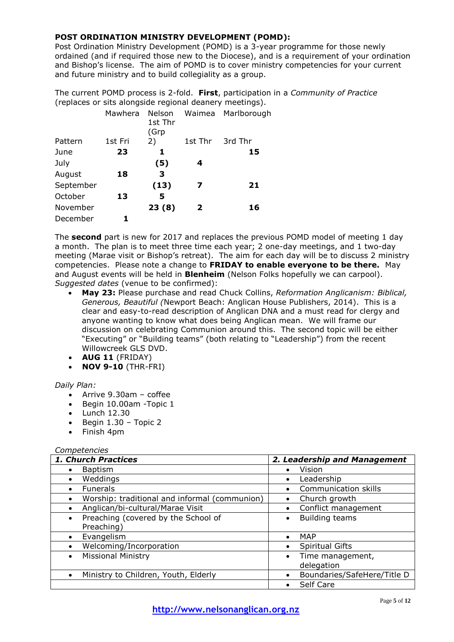## **POST ORDINATION MINISTRY DEVELOPMENT (POMD):**

Post Ordination Ministry Development (POMD) is a 3-year programme for those newly ordained (and if required those new to the Diocese), and is a requirement of your ordination and Bishop's license. The aim of POMD is to cover ministry competencies for your current and future ministry and to build collegiality as a group.

The current POMD process is 2-fold. **First**, participation in a *Community of Practice* (replaces or sits alongside regional deanery meetings).

|           | Mawhera | Nelson<br>1st Thr<br>(Grp |              | Waimea Marlborough |
|-----------|---------|---------------------------|--------------|--------------------|
| Pattern   | 1st Fri | 2)                        | 1st Thr      | 3rd Thr            |
| June      | 23      | 1                         |              | 15                 |
| July      |         | (5)                       | 4            |                    |
| August    | 18      | 3                         |              |                    |
| September |         | (13)                      | 7            | 21                 |
| October   | 13      | 5                         |              |                    |
| November  |         | 23(8)                     | $\mathbf{2}$ | 16                 |
| December  |         |                           |              |                    |

The **second** part is new for 2017 and replaces the previous POMD model of meeting 1 day a month. The plan is to meet three time each year; 2 one-day meetings, and 1 two-day meeting (Marae visit or Bishop's retreat). The aim for each day will be to discuss 2 ministry competencies. Please note a change to **FRIDAY to enable everyone to be there.** May and August events will be held in **Blenheim** (Nelson Folks hopefully we can carpool). *Suggested dates* (venue to be confirmed):

- **May 23:** Please purchase and read Chuck Collins, *Reformation Anglicanism: Biblical, Generous, Beautiful (*Newport Beach: Anglican House Publishers, 2014). This is a clear and easy-to-read description of Anglican DNA and a must read for clergy and anyone wanting to know what does being Anglican mean. We will frame our discussion on celebrating Communion around this. The second topic will be either "Executing" or "Building teams" (both relating to "Leadership") from the recent Willowcreek GLS DVD.
- **AUG 11** (FRIDAY)
- **NOV 9-10** (THR-FRI)

### *Daily Plan:*

- Arrive 9.30am coffee
- Begin 10.00am -Topic 1
- $\bullet$  Lunch 12.30
- $\bullet$  Begin 1.30 Topic 2
- Finish 4pm

### *Competencies*

| 1. Church Practices                           | 2. Leadership and Management             |
|-----------------------------------------------|------------------------------------------|
| <b>Baptism</b>                                | Vision<br>$\bullet$                      |
| Weddings<br>٠                                 | Leadership<br>$\bullet$                  |
| <b>Funerals</b>                               | Communication skills                     |
| Worship: traditional and informal (communion) | Church growth<br>$\bullet$               |
| Anglican/bi-cultural/Marae Visit              | Conflict management<br>$\bullet$         |
| Preaching (covered by the School of           | <b>Building teams</b>                    |
| Preaching)                                    |                                          |
| Evangelism                                    | MAP<br>$\bullet$                         |
| Welcoming/Incorporation                       | <b>Spiritual Gifts</b><br>$\bullet$      |
| <b>Missional Ministry</b>                     | Time management,<br>$\bullet$            |
|                                               | delegation                               |
| Ministry to Children, Youth, Elderly          | Boundaries/SafeHere/Title D<br>$\bullet$ |
|                                               | Self Care<br>$\bullet$                   |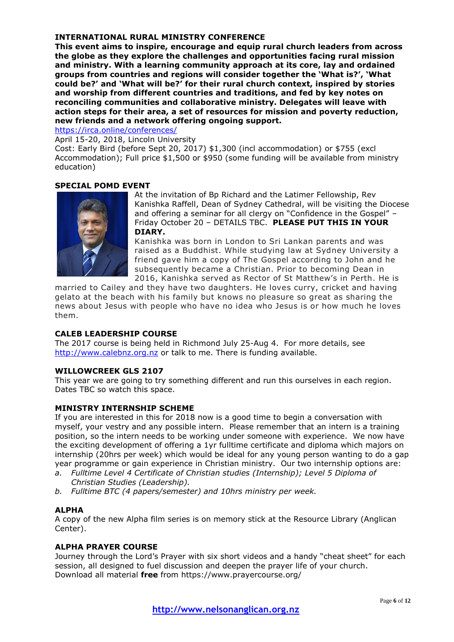### **INTERNATIONAL RURAL MINISTRY CONFERENCE**

**This event aims to inspire, encourage and equip rural church leaders from across the globe as they explore the challenges and opportunities facing rural mission and ministry. With a learning community approach at its core, lay and ordained groups from countries and regions will consider together the 'What is?', 'What could be?' and 'What will be?' for their rural church context, inspired by stories and worship from different countries and traditions, and fed by key notes on reconciling communities and collaborative ministry. Delegates will leave with action steps for their area, a set of resources for mission and poverty reduction, new friends and a network offering ongoing support.**

<https://irca.online/conferences/>

April 15-20, 2018, Lincoln University

Cost: Early Bird (before Sept 20, 2017) \$1,300 (incl accommodation) or \$755 (excl Accommodation); Full price \$1,500 or \$950 (some funding will be available from ministry education)

#### **SPECIAL POMD EVENT**



At the invitation of Bp Richard and the Latimer Fellowship, Rev Kanishka Raffell, Dean of Sydney Cathedral, will be visiting the Diocese and offering a seminar for all clergy on "Confidence in the Gospel" – Friday October 20 – DETAILS TBC. **PLEASE PUT THIS IN YOUR DIARY.**

Kanishka was born in London to Sri Lankan parents and was raised as a Buddhist. While studying law at Sydney University a friend gave him a copy of The Gospel according to John and he subsequently became a Christian. Prior to becoming Dean in 2016, Kanishka served as Rector of St Matthew's in Perth. He is

married to Cailey and they have two daughters. He loves curry, cricket and having gelato at the beach with his family but knows no pleasure so great as sharing the news about Jesus with people who have no idea who Jesus is or how much he loves them.

### **CALEB LEADERSHIP COURSE**

The 2017 course is being held in Richmond July 25-Aug 4. For more details, see [http://www.calebnz.org.nz](http://www.calebnz.org.nz/) or talk to me. There is funding available.

#### **WILLOWCREEK GLS 2107**

This year we are going to try something different and run this ourselves in each region. Dates TBC so watch this space.

### **MINISTRY INTERNSHIP SCHEME**

If you are interested in this for 2018 now is a good time to begin a conversation with myself, your vestry and any possible intern. Please remember that an intern is a training position, so the intern needs to be working under someone with experience. We now have the exciting development of offering a 1yr fulltime certificate and diploma which majors on internship (20hrs per week) which would be ideal for any young person wanting to do a gap year programme or gain experience in Christian ministry. Our two internship options are:

- *a. Fulltime Level 4 Certificate of Christian studies (Internship); Level 5 Diploma of Christian Studies (Leadership).*
- *b. Fulltime BTC (4 papers/semester) and 10hrs ministry per week.*

### **ALPHA**

A copy of the new Alpha film series is on memory stick at the Resource Library (Anglican Center).

### **ALPHA PRAYER COURSE**

Journey through the Lord's Prayer with six short videos and a handy "cheat sheet" for each session, all designed to fuel discussion and deepen the prayer life of your church. Download all material **free** from https://www.prayercourse.org/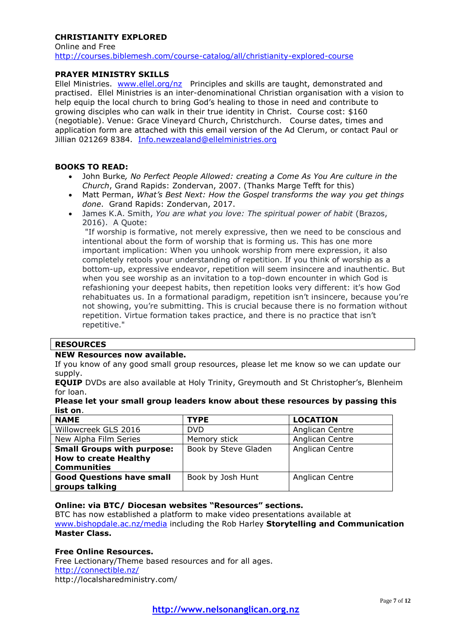## **CHRISTIANITY FXPLORED**

Online and Free <http://courses.biblemesh.com/course-catalog/all/christianity-explored-course>

### **PRAYER MINISTRY SKILLS**

Ellel Ministries. [www.ellel.org/nz](http://www.ellel.org/nz) Principles and skills are taught, demonstrated and practised. Ellel Ministries is an inter-denominational Christian organisation with a vision to help equip the local church to bring God's healing to those in need and contribute to growing disciples who can walk in their true identity in Christ. Course cost: \$160 (negotiable). Venue: Grace Vineyard Church, Christchurch. Course dates, times and application form are attached with this email version of the Ad Clerum, or contact Paul or Jillian 021269 8384. [Info.newzealand@ellelministries.org](mailto:Info.newzealand@ellelministries.org)

### **BOOKS TO READ:**

- John Burke*, No Perfect People Allowed: creating a Come As You Are culture in the Church*, Grand Rapids: Zondervan, 2007. (Thanks Marge Tefft for this)
- Matt Perman, *What's Best Next: How the Gospel transforms the way you get things done*. Grand Rapids: Zondervan, 2017.
- James K.A. Smith, *You are what you love: The spiritual power of habit* (Brazos, 2016). A Quote:

"If worship is formative, not merely expressive, then we need to be conscious and intentional about the form of worship that is forming us. This has one more important implication: When you unhook worship from mere expression, it also completely retools your understanding of repetition. If you think of worship as a bottom-up, expressive endeavor, repetition will seem insincere and inauthentic. But when you see worship as an invitation to a top-down encounter in which God is refashioning your deepest habits, then repetition looks very different: it's how God rehabituates us. In a formational paradigm, repetition isn't insincere, because you're not showing, you're submitting. This is crucial because there is no formation without repetition. Virtue formation takes practice, and there is no practice that isn't repetitive."

#### **RESOURCES**

#### **NEW Resources now available.**

If you know of any good small group resources, please let me know so we can update our supply.

**EQUIP** DVDs are also available at Holy Trinity, Greymouth and St Christopher's, Blenheim for loan.

| Please let your small group leaders know about these resources by passing this |  |  |  |
|--------------------------------------------------------------------------------|--|--|--|
| list on.                                                                       |  |  |  |

| <b>NAME</b>                       | <b>TYPE</b>          | <b>LOCATION</b> |
|-----------------------------------|----------------------|-----------------|
| Willowcreek GLS 2016              | DVD.                 | Anglican Centre |
| New Alpha Film Series             | Memory stick         | Anglican Centre |
| <b>Small Groups with purpose:</b> | Book by Steve Gladen | Anglican Centre |
| <b>How to create Healthy</b>      |                      |                 |
| <b>Communities</b>                |                      |                 |
| <b>Good Questions have small</b>  | Book by Josh Hunt    | Anglican Centre |
| groups talking                    |                      |                 |

### **Online: via BTC/ Diocesan websites "Resources" sections.**

BTC has now established a platform to make video presentations available at [www.bishopdale.ac.nz/media](http://www.bishopdale.ac.nz/media) including the Rob Harley **Storytelling and Communication Master Class.**

#### **Free Online Resources.**

Free Lectionary/Theme based resources and for all ages. <http://connectible.nz/> http://localsharedministry.com/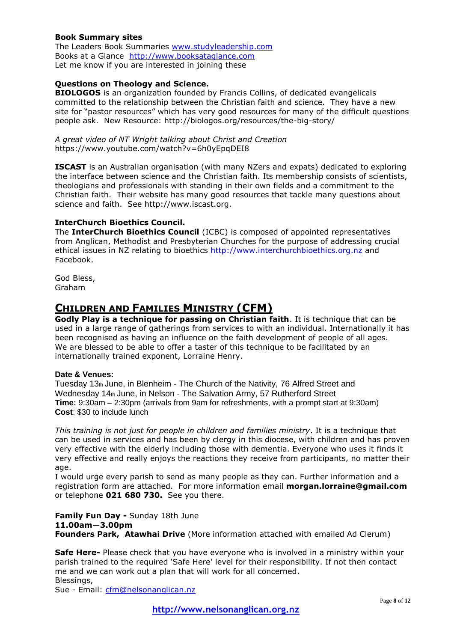### **Book Summary sites**

The Leaders Book Summaries [www.studyleadership.com](http://www.studyleadership.com/) Books at a Glance [http://www.booksataglance.com](http://www.booksataglance.com/) Let me know if you are interested in joining these

### **Questions on Theology and Science.**

**BIOLOGOS** is an organization founded by Francis Collins, of dedicated evangelicals committed to the relationship between the Christian faith and science. They have a new site for "pastor resources" which has very good resources for many of the difficult questions people ask. New Resource: http://biologos.org/resources/the-big-story/

*A great video of NT Wright talking about Christ and Creation* https://www.youtube.com/watch?v=6h0yEpqDEI8

**ISCAST** is an Australian organisation (with many NZers and expats) dedicated to exploring the interface between science and the Christian faith. Its membership consists of scientists, theologians and professionals with standing in their own fields and a commitment to the Christian faith. Their website has many good resources that tackle many questions about science and faith. See http://www.iscast.org.

### **InterChurch Bioethics Council.**

The **InterChurch Bioethics Council** (ICBC) is composed of appointed representatives from Anglican, Methodist and Presbyterian Churches for the purpose of addressing crucial ethical issues in NZ relating to bioethics [http://www.interchurchbioethics.org.nz](http://www.interchurchbioethics.org.nz/) and Facebook.

God Bless, Graham

# **CHILDREN AND FAMILIES MINISTRY (CFM)**

**Godly Play is a technique for passing on Christian faith**. It is technique that can be used in a large range of gatherings from services to with an individual. Internationally it has been recognised as having an influence on the faith development of people of all ages. We are blessed to be able to offer a taster of this technique to be facilitated by an internationally trained exponent, Lorraine Henry.

### **Date & Venues:**

Tuesday  $13<sub>th</sub>$  June, in Blenheim - The Church of the Nativity, 76 Alfred Street and Wednesday 14th June, in Nelson - The Salvation Army, 57 Rutherford Street **Time:** 9:30am – 2:30pm (arrivals from 9am for refreshments, with a prompt start at 9:30am) **Cost**: \$30 to include lunch

*This training is not just for people in children and families ministry*. It is a technique that can be used in services and has been by clergy in this diocese, with children and has proven very effective with the elderly including those with dementia. Everyone who uses it finds it very effective and really enjoys the reactions they receive from participants, no matter their age.

I would urge every parish to send as many people as they can. Further information and a registration form are attached. For more information email **morgan.lorraine@gmail.com**  or telephone **021 680 730.** See you there.

**Family Fun Day -** Sunday 18th June **11.00am—3.00pm Founders Park, Atawhai Drive** (More information attached with emailed Ad Clerum)

**Safe Here-** Please check that you have everyone who is involved in a ministry within your parish trained to the required 'Safe Here' level for their responsibility. If not then contact me and we can work out a plan that will work for all concerned. Blessings,

Sue - Email: [cfm@nelsonanglican.nz](mailto:cfm@nelsonanglican.nz)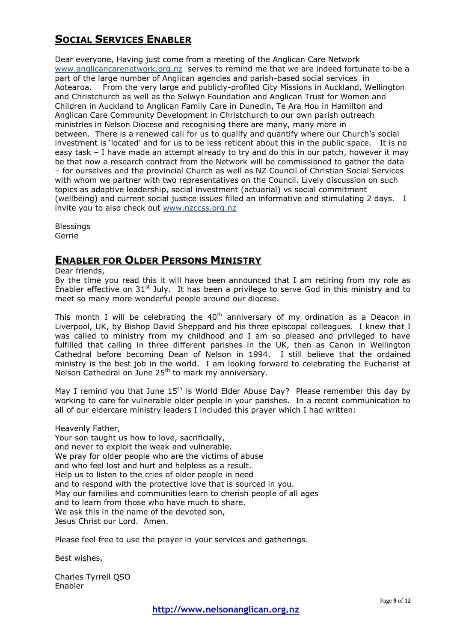# **SOCIAL SERVICES ENABLER**

Dear everyone, Having just come from a meeting of the Anglican Care Network [www.anglicancarenetwork.org.nz](http://www.anglicancarenetwork.org.nz/) serves to remind me that we are indeed fortunate to be a part of the large number of Anglican agencies and parish-based social services in Aotearoa. From the very large and publicly-profiled City Missions in Auckland, Wellington and Christchurch as well as the Selwyn Foundation and Anglican Trust for Women and Children in Auckland to Anglican Family Care in Dunedin, Te Ara Hou in Hamilton and Anglican Care Community Development in Christchurch to our own parish outreach ministries in Nelson Diocese and recognising there are many, many more in between. There is a renewed call for us to qualify and quantify where our Church's social investment is 'located' and for us to be less reticent about this in the public space. It is no easy task – I have made an attempt already to try and do this in our patch, however it may be that now a research contract from the Network will be commissioned to gather the data – for ourselves and the provincial Church as well as NZ Council of Christian Social Services with whom we partner with two representatives on the Council. Lively discussion on such topics as adaptive leadership, social investment (actuarial) vs social commitment (wellbeing) and current social justice issues filled an informative and stimulating 2 days. I invite you to also check out [www.nzccss.org.nz](http://www.nzccss.org.nz/)

Blessings Gerrie

# **ENABLER FOR OLDER PERSONS MINISTRY**

Dear friends,

By the time you read this it will have been announced that I am retiring from my role as Enabler effective on  $31<sup>st</sup>$  July. It has been a privilege to serve God in this ministry and to meet so many more wonderful people around our diocese.

This month I will be celebrating the  $40<sup>th</sup>$  anniversary of my ordination as a Deacon in Liverpool, UK, by Bishop David Sheppard and his three episcopal colleagues. I knew that I was called to ministry from my childhood and I am so pleased and privileged to have fulfilled that calling in three different parishes in the UK, then as Canon in Wellington Cathedral before becoming Dean of Nelson in 1994. I still believe that the ordained ministry is the best job in the world. I am looking forward to celebrating the Eucharist at Nelson Cathedral on June 25th to mark my anniversary.

May I remind you that June  $15<sup>th</sup>$  is World Elder Abuse Day? Please remember this day by working to care for vulnerable older people in your parishes. In a recent communication to all of our eldercare ministry leaders I included this prayer which I had written:

Heavenly Father,

Your son taught us how to love, sacrificially, and never to exploit the weak and vulnerable. We pray for older people who are the victims of abuse and who feel lost and hurt and helpless as a result. Help us to listen to the cries of older people in need and to respond with the protective love that is sourced in you. May our families and communities learn to cherish people of all ages and to learn from those who have much to share. We ask this in the name of the devoted son, Jesus Christ our Lord. Amen.

Please feel free to use the prayer in your services and gatherings.

Best wishes,

Charles Tyrrell QSO Enabler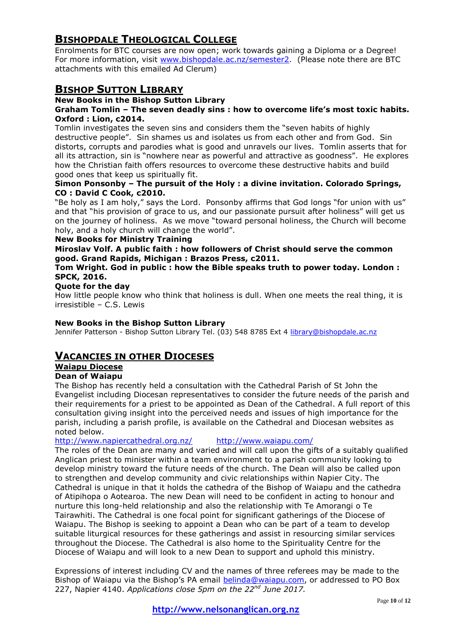# **BISHOPDALE THEOLOGICAL COLLEGE**

Enrolments for BTC courses are now open; work towards gaining a Diploma or a Degree! For more information, visit [www.bishopdale.ac.nz/semester2.](http://www.bishopdale.ac.nz/semester2) (Please note there are BTC attachments with this emailed Ad Clerum)

# **BISHOP SUTTON LIBRARY**

### **New Books in the Bishop Sutton Library**

### **Graham Tomlin – The seven deadly sins : how to overcome life's most toxic habits. Oxford : Lion, c2014.**

Tomlin investigates the seven sins and considers them the "seven habits of highly destructive people". Sin shames us and isolates us from each other and from God. Sin distorts, corrupts and parodies what is good and unravels our lives. Tomlin asserts that for all its attraction, sin is "nowhere near as powerful and attractive as goodness". He explores how the Christian faith offers resources to overcome these destructive habits and build good ones that keep us spiritually fit.

## **Simon Ponsonby – The pursuit of the Holy : a divine invitation. Colorado Springs, CO : David C Cook, c2010.**

"Be holy as I am holy," says the Lord. Ponsonby affirms that God longs "for union with us" and that "his provision of grace to us, and our passionate pursuit after holiness" will get us on the journey of holiness. As we move "toward personal holiness, the Church will become holy, and a holy church will change the world".

### **New Books for Ministry Training**

### **Miroslav Volf. A public faith : how followers of Christ should serve the common good. Grand Rapids, Michigan : Brazos Press, c2011.**

### **Tom Wright. God in public : how the Bible speaks truth to power today. London : SPCK, 2016.**

### **Quote for the day**

How little people know who think that holiness is dull. When one meets the real thing, it is irresistible – C.S. Lewis

### **New Books in the Bishop Sutton Library**

Jennifer Patterson - Bishop Sutton Library Tel. (03) 548 8785 Ext 4 [library@bishopdale.ac.nz](mailto:library@bishopdale.ac.nz)

# **VACANCIES IN OTHER DIOCESES**

# **Waiapu Diocese**

### **Dean of Waiapu**

The Bishop has recently held a consultation with the Cathedral Parish of St John the Evangelist including Diocesan representatives to consider the future needs of the parish and their requirements for a priest to be appointed as Dean of the Cathedral. A full report of this consultation giving insight into the perceived needs and issues of high importance for the parish, including a parish profile, is available on the Cathedral and Diocesan websites as noted below.

<http://www.napiercathedral.org.nz/><http://www.waiapu.com/>

The roles of the Dean are many and varied and will call upon the gifts of a suitably qualified Anglican priest to minister within a team environment to a parish community looking to develop ministry toward the future needs of the church. The Dean will also be called upon to strengthen and develop community and civic relationships within Napier City. The Cathedral is unique in that it holds the cathedra of the Bishop of Waiapu and the cathedra of Atipihopa o Aotearoa. The new Dean will need to be confident in acting to honour and nurture this long-held relationship and also the relationship with Te Amorangi o Te Tairawhiti. The Cathedral is one focal point for significant gatherings of the Diocese of Waiapu. The Bishop is seeking to appoint a Dean who can be part of a team to develop suitable liturgical resources for these gatherings and assist in resourcing similar services throughout the Diocese. The Cathedral is also home to the Spirituality Centre for the Diocese of Waiapu and will look to a new Dean to support and uphold this ministry.

Expressions of interest including CV and the names of three referees may be made to the Bishop of Waiapu via the Bishop's PA email [belinda@waiapu.com,](mailto:belinda@waiapu.com) or addressed to PO Box 227, Napier 4140. *Applications close 5pm on the 22nd June 2017.*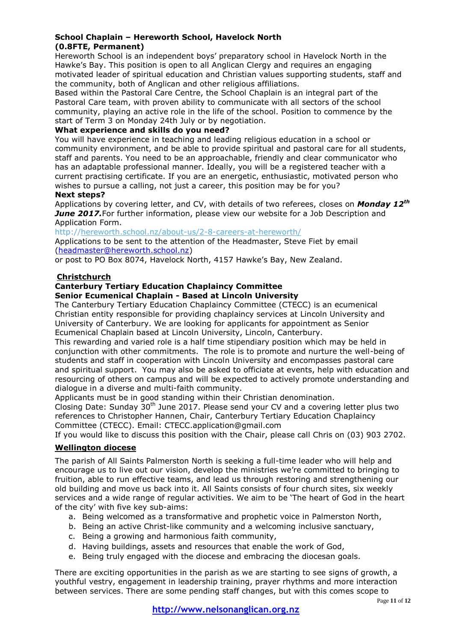### **School Chaplain – Hereworth School, Havelock North (0.8FTE, Permanent)**

Hereworth School is an independent boys' preparatory school in Havelock North in the Hawke's Bay. This position is open to all Anglican Clergy and requires an engaging motivated leader of spiritual education and Christian values supporting students, staff and the community, both of Anglican and other religious affiliations.

Based within the Pastoral Care Centre, the School Chaplain is an integral part of the Pastoral Care team, with proven ability to communicate with all sectors of the school community, playing an active role in the life of the school. Position to commence by the start of Term 3 on Monday 24th July or by negotiation.

### **What experience and skills do you need?**

You will have experience in teaching and leading religious education in a school or community environment, and be able to provide spiritual and pastoral care for all students, staff and parents. You need to be an approachable, friendly and clear communicator who has an adaptable professional manner. Ideally, you will be a registered teacher with a current practising certificate. If you are an energetic, enthusiastic, motivated person who wishes to pursue a calling, not just a career, this position may be for you?

**Next steps?**

Applications by covering letter, and CV, with details of two referees, closes on *Monday 12th June 2017.*For further information, please view our website for a Job Description and Application Form.

http:/[/hereworth.school.nz/about-us/2-8-careers-at-hereworth/](http://click.icptrack.com/icp/relay.php?r=44999675&msgid=1521527&act=4D31&c=313747&destination=http%3A%2F%2Fhereworth.school.nz%2Fabout-us%2F2-8-careers-at-hereworth%2F)

Applications to be sent to the attention of the Headmaster, Steve Fiet by email [\(headmaster@hereworth.school.nz\)](mailto:headmaster@hereworth.school.nz)

or post to PO Box 8074, Havelock North, 4157 Hawke's Bay, New Zealand.

### **Christchurch**

### **Canterbury Tertiary Education Chaplaincy Committee**

## **Senior Ecumenical Chaplain - Based at Lincoln University**

The Canterbury Tertiary Education Chaplaincy Committee (CTECC) is an ecumenical Christian entity responsible for providing chaplaincy services at Lincoln University and University of Canterbury. We are looking for applicants for appointment as Senior Ecumenical Chaplain based at Lincoln University, Lincoln, Canterbury.

This rewarding and varied role is a half time stipendiary position which may be held in conjunction with other commitments. The role is to promote and nurture the well-being of students and staff in cooperation with Lincoln University and encompasses pastoral care and spiritual support. You may also be asked to officiate at events, help with education and resourcing of others on campus and will be expected to actively promote understanding and dialogue in a diverse and multi-faith community.

Applicants must be in good standing within their Christian denomination.

Closing Date: Sunday 30<sup>th</sup> June 2017. Please send your CV and a covering letter plus two references to Christopher Hannen, Chair, Canterbury Tertiary Education Chaplaincy Committee (CTECC). Email: CTECC.application@gmail.com

If you would like to discuss this position with the Chair, please call Chris on (03) 903 2702.

### **Wellington diocese**

The parish of All Saints Palmerston North is seeking a full-time leader who will help and encourage us to live out our vision, develop the ministries we're committed to bringing to fruition, able to run effective teams, and lead us through restoring and strengthening our old building and move us back into it. All Saints consists of four church sites, six weekly services and a wide range of regular activities. We aim to be 'The heart of God in the heart of the city' with five key sub-aims:

- a. Being welcomed as a transformative and prophetic voice in Palmerston North,
- b. Being an active Christ-like community and a welcoming inclusive sanctuary,
- c. Being a growing and harmonious faith community,
- d. Having buildings, assets and resources that enable the work of God,
- e. Being truly engaged with the diocese and embracing the diocesan goals.

There are exciting opportunities in the parish as we are starting to see signs of growth, a youthful vestry, engagement in leadership training, prayer rhythms and more interaction between services. There are some pending staff changes, but with this comes scope to